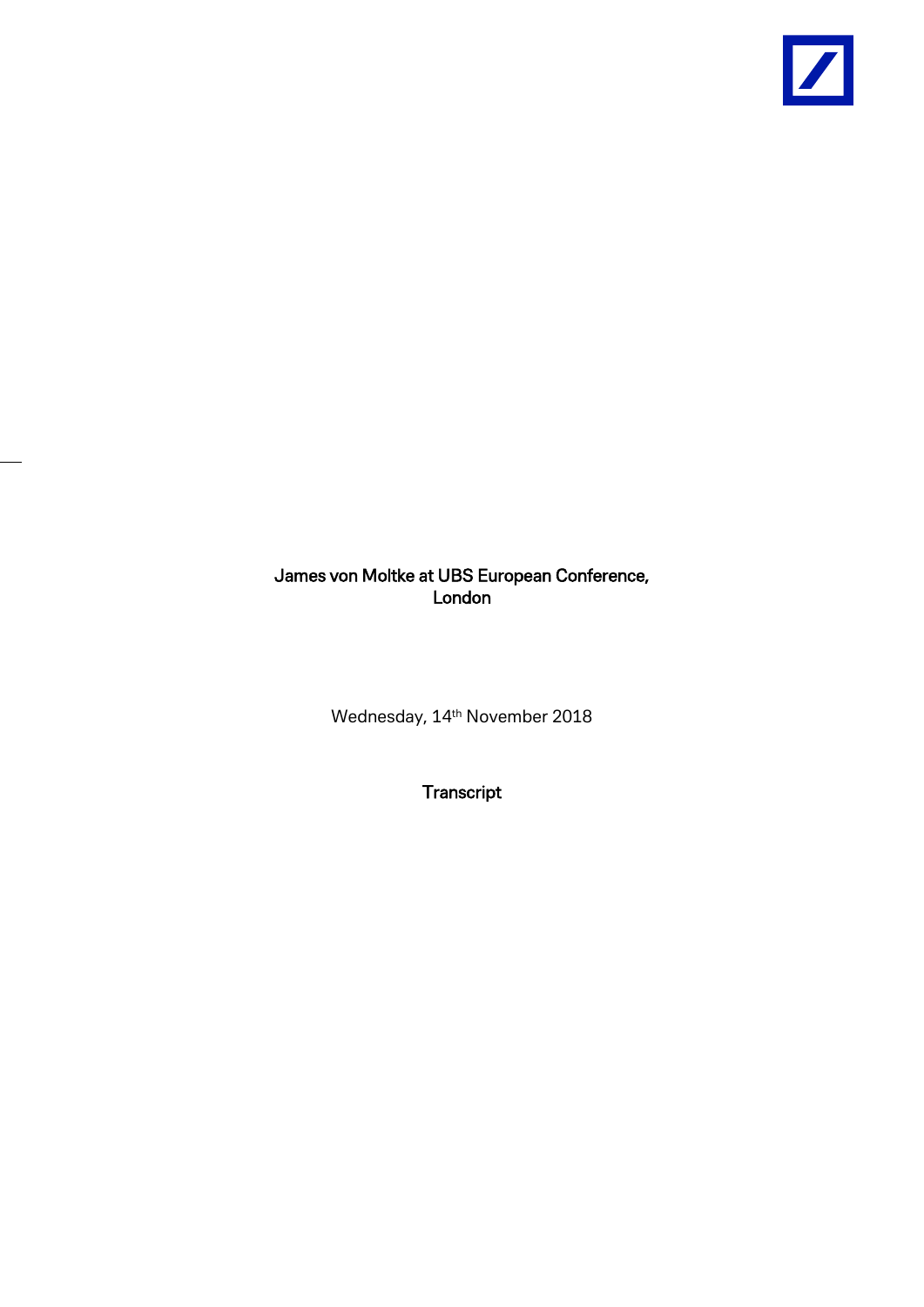

## James von Moltke at UBS European Conference, London

Wednesday, 14<sup>th</sup> November 2018

**Transcript**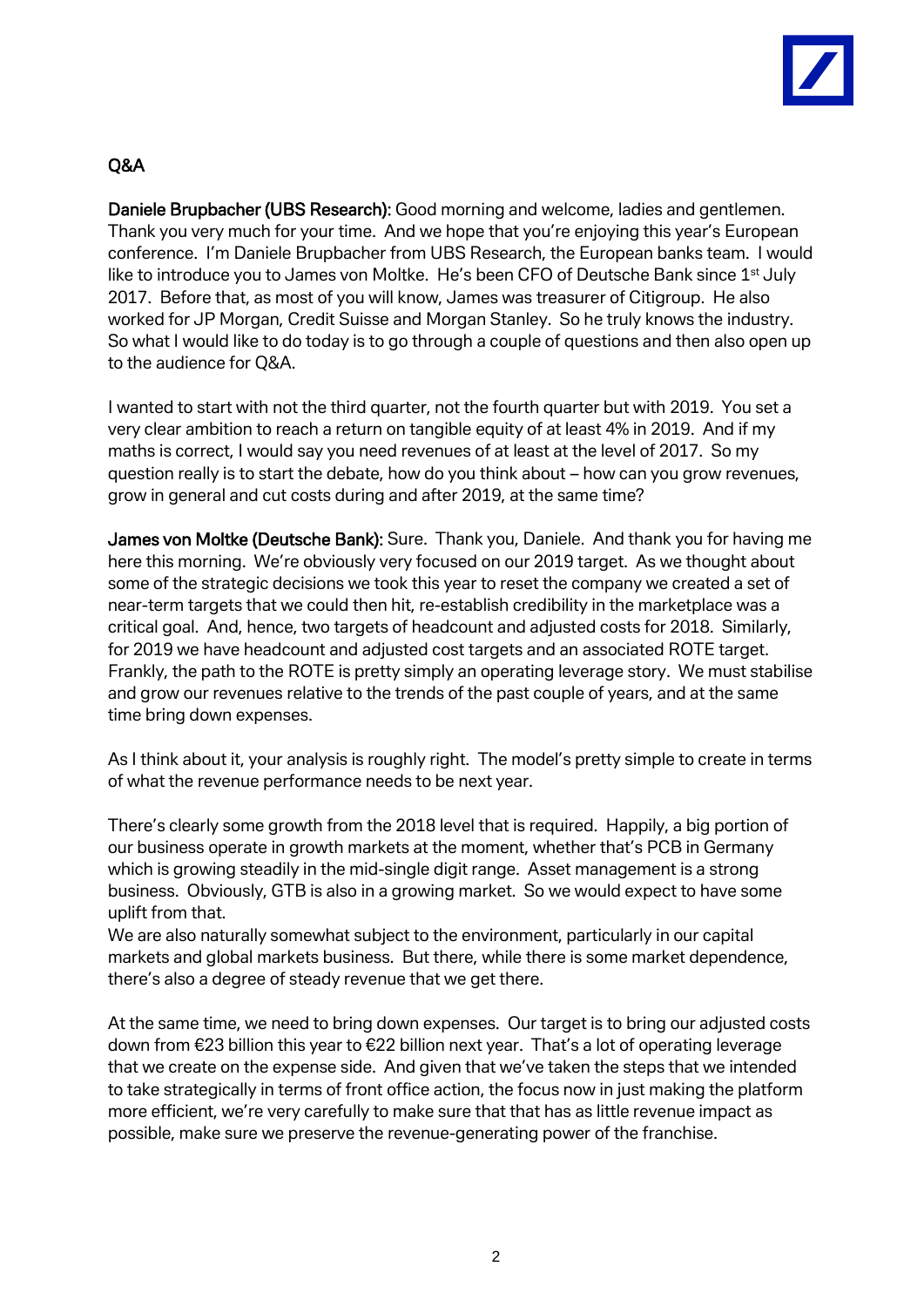

## Q&A

Daniele Brupbacher (UBS Research): Good morning and welcome, ladies and gentlemen. Thank you very much for your time. And we hope that you're enjoying this year's European conference. I'm Daniele Brupbacher from UBS Research, the European banks team. I would like to introduce you to James von Moltke. He's been CFO of Deutsche Bank since 1<sup>st</sup> July 2017. Before that, as most of you will know, James was treasurer of Citigroup. He also worked for JP Morgan, Credit Suisse and Morgan Stanley. So he truly knows the industry. So what I would like to do today is to go through a couple of questions and then also open up to the audience for Q&A.

I wanted to start with not the third quarter, not the fourth quarter but with 2019. You set a very clear ambition to reach a return on tangible equity of at least 4% in 2019. And if my maths is correct, I would say you need revenues of at least at the level of 2017. So my question really is to start the debate, how do you think about – how can you grow revenues, grow in general and cut costs during and after 2019, at the same time?

James von Moltke (Deutsche Bank): Sure. Thank you, Daniele. And thank you for having me here this morning. We're obviously very focused on our 2019 target. As we thought about some of the strategic decisions we took this year to reset the company we created a set of near-term targets that we could then hit, re-establish credibility in the marketplace was a critical goal. And, hence, two targets of headcount and adjusted costs for 2018. Similarly, for 2019 we have headcount and adjusted cost targets and an associated ROTE target. Frankly, the path to the ROTE is pretty simply an operating leverage story. We must stabilise and grow our revenues relative to the trends of the past couple of years, and at the same time bring down expenses.

As I think about it, your analysis is roughly right. The model's pretty simple to create in terms of what the revenue performance needs to be next year.

There's clearly some growth from the 2018 level that is required. Happily, a big portion of our business operate in growth markets at the moment, whether that's PCB in Germany which is growing steadily in the mid-single digit range. Asset management is a strong business. Obviously, GTB is also in a growing market. So we would expect to have some uplift from that.

We are also naturally somewhat subject to the environment, particularly in our capital markets and global markets business. But there, while there is some market dependence, there's also a degree of steady revenue that we get there.

At the same time, we need to bring down expenses. Our target is to bring our adjusted costs down from €23 billion this year to €22 billion next year. That's a lot of operating leverage that we create on the expense side. And given that we've taken the steps that we intended to take strategically in terms of front office action, the focus now in just making the platform more efficient, we're very carefully to make sure that that has as little revenue impact as possible, make sure we preserve the revenue-generating power of the franchise.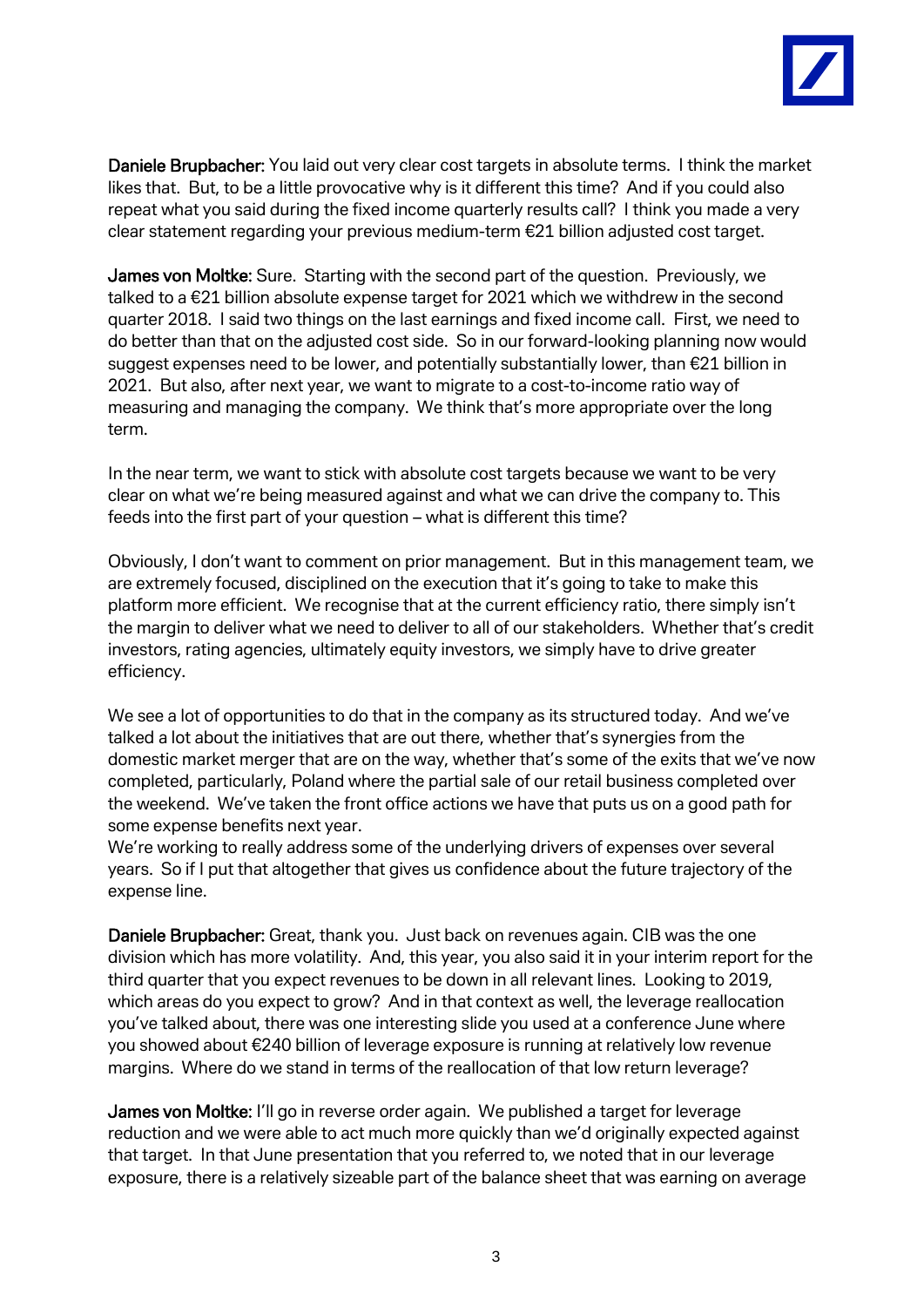

Daniele Brupbacher: You laid out very clear cost targets in absolute terms. I think the market likes that. But, to be a little provocative why is it different this time? And if you could also repeat what you said during the fixed income quarterly results call? I think you made a very clear statement regarding your previous medium-term €21 billion adjusted cost target.

James von Moltke: Sure. Starting with the second part of the question. Previously, we talked to a €21 billion absolute expense target for 2021 which we withdrew in the second quarter 2018. I said two things on the last earnings and fixed income call. First, we need to do better than that on the adjusted cost side. So in our forward-looking planning now would suggest expenses need to be lower, and potentially substantially lower, than €21 billion in 2021. But also, after next year, we want to migrate to a cost-to-income ratio way of measuring and managing the company. We think that's more appropriate over the long term.

In the near term, we want to stick with absolute cost targets because we want to be very clear on what we're being measured against and what we can drive the company to. This feeds into the first part of your question – what is different this time?

Obviously, I don't want to comment on prior management. But in this management team, we are extremely focused, disciplined on the execution that it's going to take to make this platform more efficient. We recognise that at the current efficiency ratio, there simply isn't the margin to deliver what we need to deliver to all of our stakeholders. Whether that's credit investors, rating agencies, ultimately equity investors, we simply have to drive greater efficiency.

We see a lot of opportunities to do that in the company as its structured today. And we've talked a lot about the initiatives that are out there, whether that's synergies from the domestic market merger that are on the way, whether that's some of the exits that we've now completed, particularly, Poland where the partial sale of our retail business completed over the weekend. We've taken the front office actions we have that puts us on a good path for some expense benefits next year.

We're working to really address some of the underlying drivers of expenses over several years. So if I put that altogether that gives us confidence about the future trajectory of the expense line.

Daniele Brupbacher: Great, thank you. Just back on revenues again. CIB was the one division which has more volatility. And, this year, you also said it in your interim report for the third quarter that you expect revenues to be down in all relevant lines. Looking to 2019, which areas do you expect to grow? And in that context as well, the leverage reallocation you've talked about, there was one interesting slide you used at a conference June where you showed about €240 billion of leverage exposure is running at relatively low revenue margins. Where do we stand in terms of the reallocation of that low return leverage?

James von Moltke: I'll go in reverse order again. We published a target for leverage reduction and we were able to act much more quickly than we'd originally expected against that target. In that June presentation that you referred to, we noted that in our leverage exposure, there is a relatively sizeable part of the balance sheet that was earning on average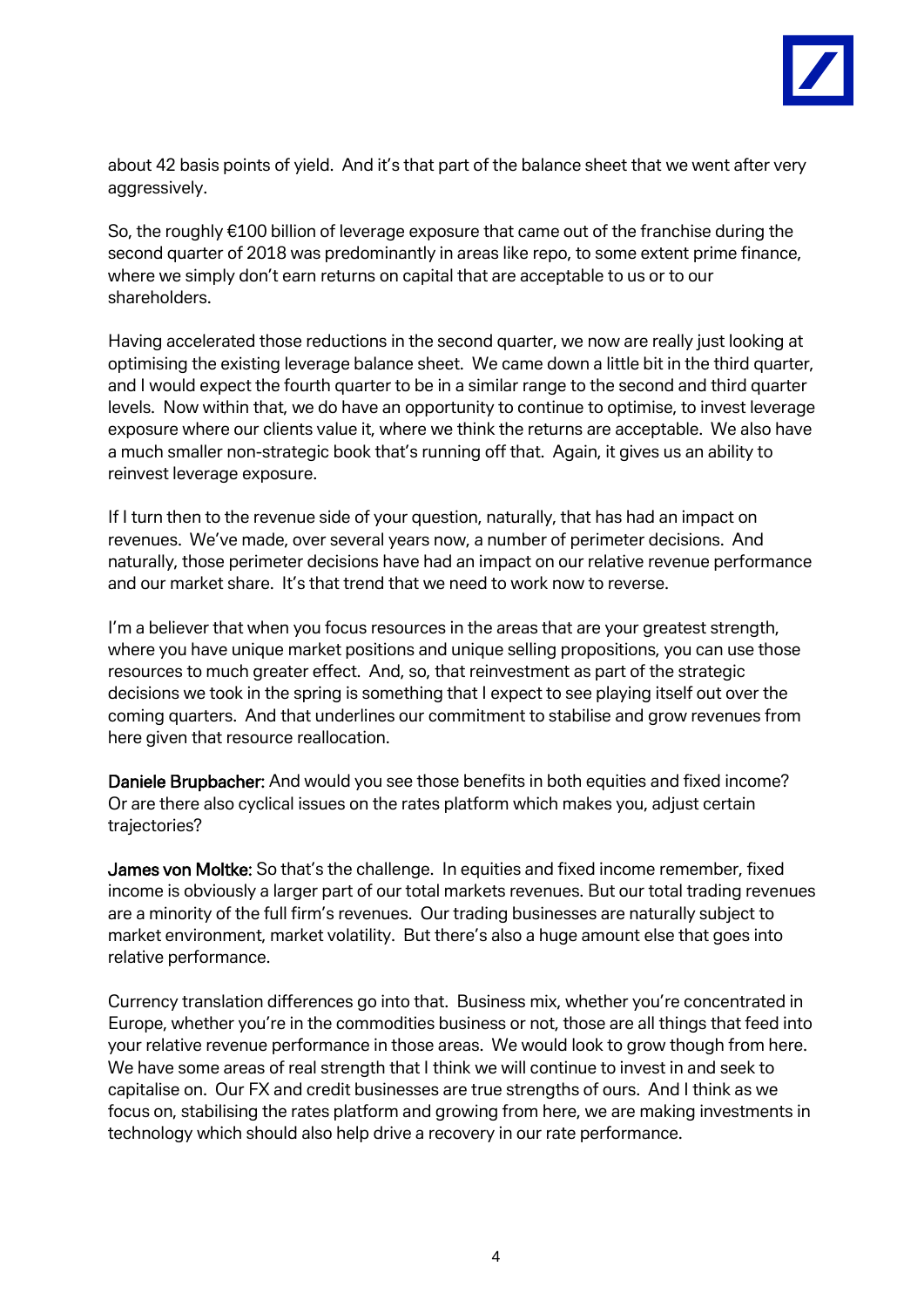

about 42 basis points of yield. And it's that part of the balance sheet that we went after very aggressively.

So, the roughly €100 billion of leverage exposure that came out of the franchise during the second quarter of 2018 was predominantly in areas like repo, to some extent prime finance, where we simply don't earn returns on capital that are acceptable to us or to our shareholders.

Having accelerated those reductions in the second quarter, we now are really just looking at optimising the existing leverage balance sheet. We came down a little bit in the third quarter, and I would expect the fourth quarter to be in a similar range to the second and third quarter levels. Now within that, we do have an opportunity to continue to optimise, to invest leverage exposure where our clients value it, where we think the returns are acceptable. We also have a much smaller non-strategic book that's running off that. Again, it gives us an ability to reinvest leverage exposure.

If I turn then to the revenue side of your question, naturally, that has had an impact on revenues. We've made, over several years now, a number of perimeter decisions. And naturally, those perimeter decisions have had an impact on our relative revenue performance and our market share. It's that trend that we need to work now to reverse.

I'm a believer that when you focus resources in the areas that are your greatest strength, where you have unique market positions and unique selling propositions, you can use those resources to much greater effect. And, so, that reinvestment as part of the strategic decisions we took in the spring is something that I expect to see playing itself out over the coming quarters. And that underlines our commitment to stabilise and grow revenues from here given that resource reallocation.

Daniele Brupbacher: And would you see those benefits in both equities and fixed income? Or are there also cyclical issues on the rates platform which makes you, adjust certain trajectories?

James von Moltke: So that's the challenge. In equities and fixed income remember, fixed income is obviously a larger part of our total markets revenues. But our total trading revenues are a minority of the full firm's revenues. Our trading businesses are naturally subject to market environment, market volatility. But there's also a huge amount else that goes into relative performance.

Currency translation differences go into that. Business mix, whether you're concentrated in Europe, whether you're in the commodities business or not, those are all things that feed into your relative revenue performance in those areas. We would look to grow though from here. We have some areas of real strength that I think we will continue to invest in and seek to capitalise on. Our FX and credit businesses are true strengths of ours. And I think as we focus on, stabilising the rates platform and growing from here, we are making investments in technology which should also help drive a recovery in our rate performance.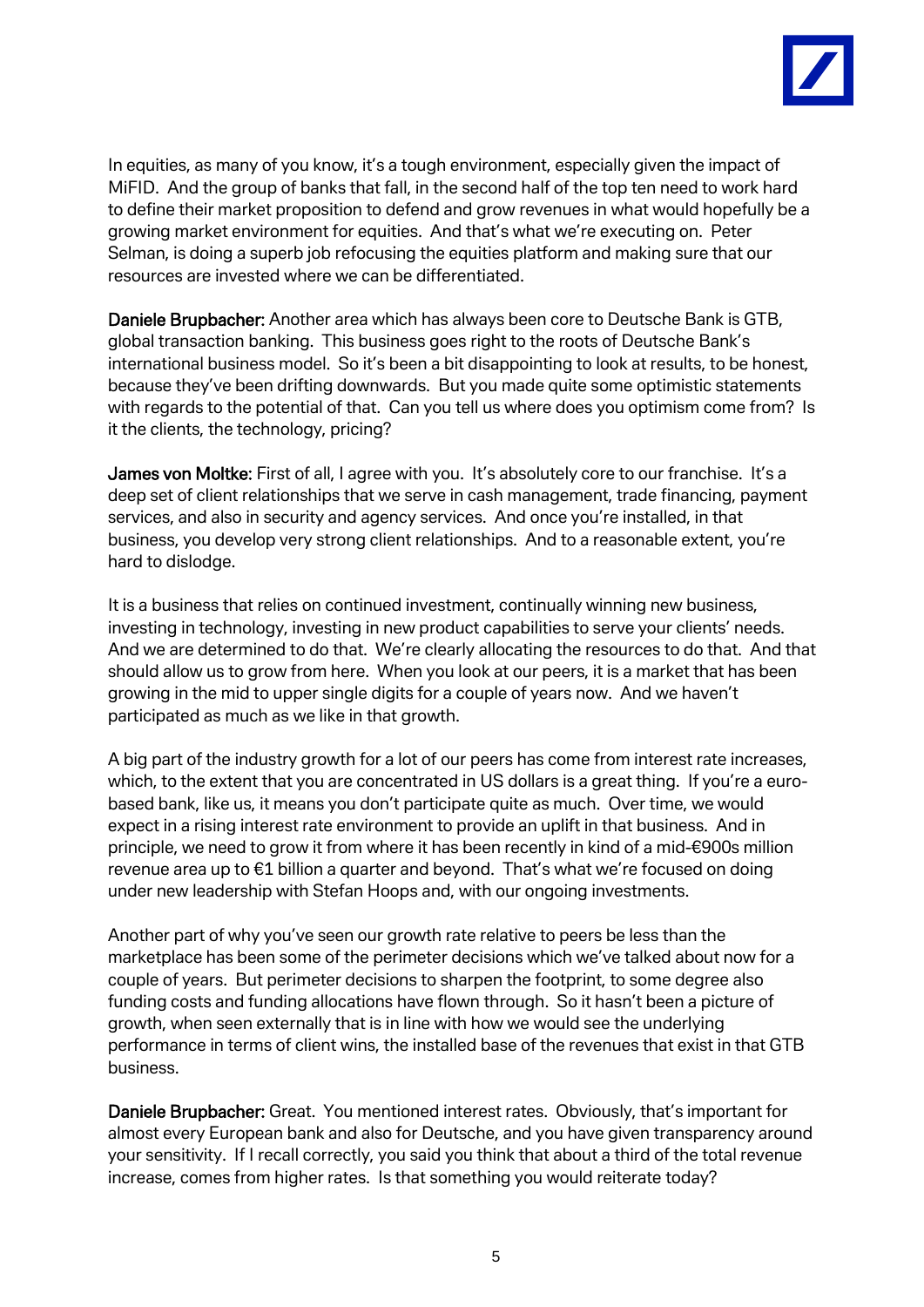

In equities, as many of you know, it's a tough environment, especially given the impact of MiFID. And the group of banks that fall, in the second half of the top ten need to work hard to define their market proposition to defend and grow revenues in what would hopefully be a growing market environment for equities. And that's what we're executing on. Peter Selman, is doing a superb job refocusing the equities platform and making sure that our resources are invested where we can be differentiated.

Daniele Brupbacher: Another area which has always been core to Deutsche Bank is GTB, global transaction banking. This business goes right to the roots of Deutsche Bank's international business model. So it's been a bit disappointing to look at results, to be honest, because they've been drifting downwards. But you made quite some optimistic statements with regards to the potential of that. Can you tell us where does you optimism come from? Is it the clients, the technology, pricing?

James von Moltke: First of all, I agree with you. It's absolutely core to our franchise. It's a deep set of client relationships that we serve in cash management, trade financing, payment services, and also in security and agency services. And once you're installed, in that business, you develop very strong client relationships. And to a reasonable extent, you're hard to dislodge.

It is a business that relies on continued investment, continually winning new business, investing in technology, investing in new product capabilities to serve your clients' needs. And we are determined to do that. We're clearly allocating the resources to do that. And that should allow us to grow from here. When you look at our peers, it is a market that has been growing in the mid to upper single digits for a couple of years now. And we haven't participated as much as we like in that growth.

A big part of the industry growth for a lot of our peers has come from interest rate increases, which, to the extent that you are concentrated in US dollars is a great thing. If you're a eurobased bank, like us, it means you don't participate quite as much. Over time, we would expect in a rising interest rate environment to provide an uplift in that business. And in principle, we need to grow it from where it has been recently in kind of a mid-€900s million revenue area up to €1 billion a quarter and beyond. That's what we're focused on doing under new leadership with Stefan Hoops and, with our ongoing investments.

Another part of why you've seen our growth rate relative to peers be less than the marketplace has been some of the perimeter decisions which we've talked about now for a couple of years. But perimeter decisions to sharpen the footprint, to some degree also funding costs and funding allocations have flown through. So it hasn't been a picture of growth, when seen externally that is in line with how we would see the underlying performance in terms of client wins, the installed base of the revenues that exist in that GTB business.

Daniele Brupbacher: Great. You mentioned interest rates. Obviously, that's important for almost every European bank and also for Deutsche, and you have given transparency around your sensitivity. If I recall correctly, you said you think that about a third of the total revenue increase, comes from higher rates. Is that something you would reiterate today?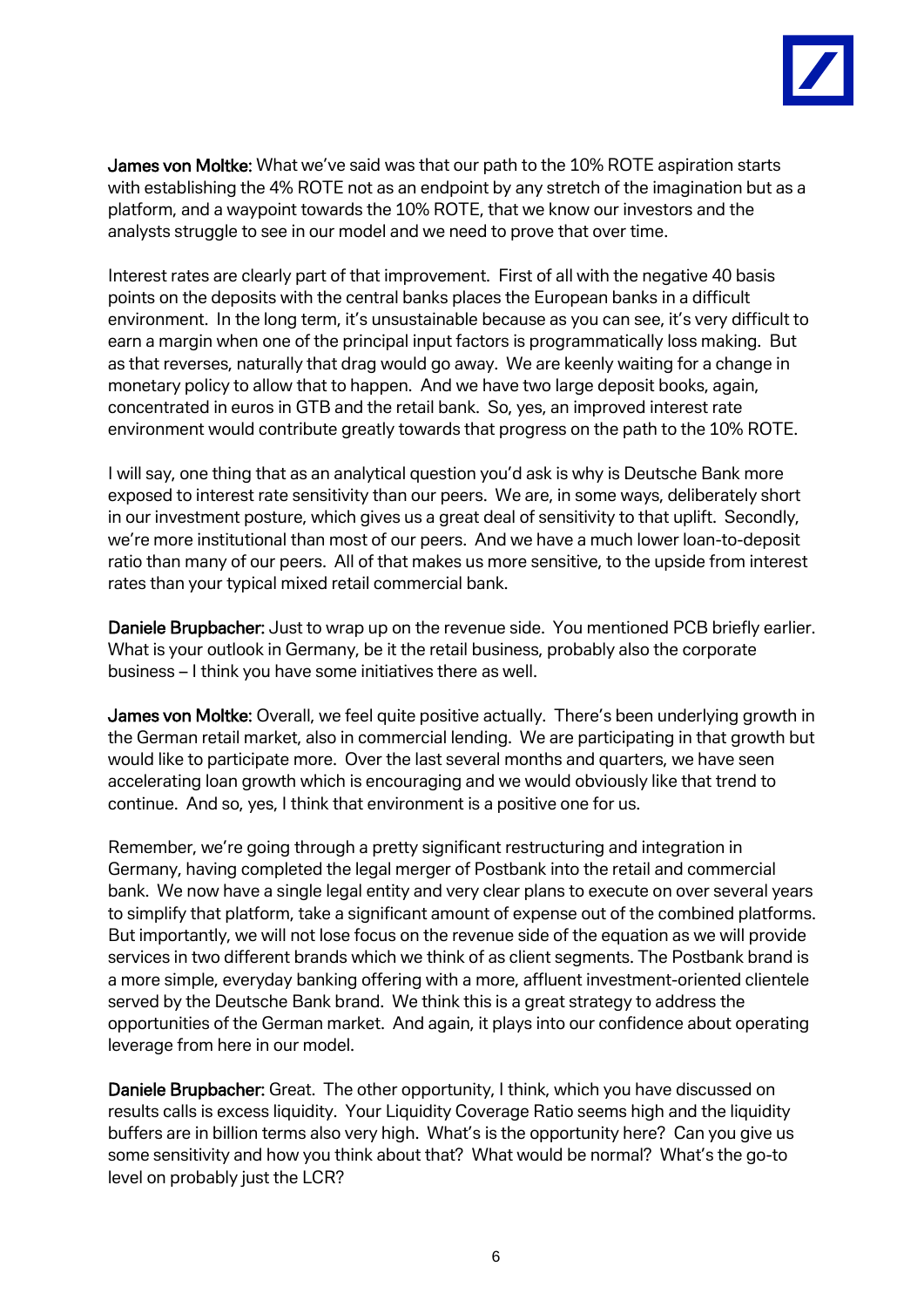

James von Moltke: What we've said was that our path to the 10% ROTE aspiration starts with establishing the 4% ROTE not as an endpoint by any stretch of the imagination but as a platform, and a waypoint towards the 10% ROTE, that we know our investors and the analysts struggle to see in our model and we need to prove that over time.

Interest rates are clearly part of that improvement. First of all with the negative 40 basis points on the deposits with the central banks places the European banks in a difficult environment. In the long term, it's unsustainable because as you can see, it's very difficult to earn a margin when one of the principal input factors is programmatically loss making. But as that reverses, naturally that drag would go away. We are keenly waiting for a change in monetary policy to allow that to happen. And we have two large deposit books, again, concentrated in euros in GTB and the retail bank. So, yes, an improved interest rate environment would contribute greatly towards that progress on the path to the 10% ROTE.

I will say, one thing that as an analytical question you'd ask is why is Deutsche Bank more exposed to interest rate sensitivity than our peers. We are, in some ways, deliberately short in our investment posture, which gives us a great deal of sensitivity to that uplift. Secondly, we're more institutional than most of our peers. And we have a much lower loan-to-deposit ratio than many of our peers. All of that makes us more sensitive, to the upside from interest rates than your typical mixed retail commercial bank.

Daniele Brupbacher: Just to wrap up on the revenue side. You mentioned PCB briefly earlier. What is your outlook in Germany, be it the retail business, probably also the corporate business – I think you have some initiatives there as well.

James von Moltke: Overall, we feel quite positive actually. There's been underlying growth in the German retail market, also in commercial lending. We are participating in that growth but would like to participate more. Over the last several months and quarters, we have seen accelerating loan growth which is encouraging and we would obviously like that trend to continue. And so, yes, I think that environment is a positive one for us.

Remember, we're going through a pretty significant restructuring and integration in Germany, having completed the legal merger of Postbank into the retail and commercial bank. We now have a single legal entity and very clear plans to execute on over several years to simplify that platform, take a significant amount of expense out of the combined platforms. But importantly, we will not lose focus on the revenue side of the equation as we will provide services in two different brands which we think of as client segments. The Postbank brand is a more simple, everyday banking offering with a more, affluent investment-oriented clientele served by the Deutsche Bank brand. We think this is a great strategy to address the opportunities of the German market. And again, it plays into our confidence about operating leverage from here in our model.

Daniele Brupbacher: Great. The other opportunity, I think, which you have discussed on results calls is excess liquidity. Your Liquidity Coverage Ratio seems high and the liquidity buffers are in billion terms also very high. What's is the opportunity here? Can you give us some sensitivity and how you think about that? What would be normal? What's the go-to level on probably just the LCR?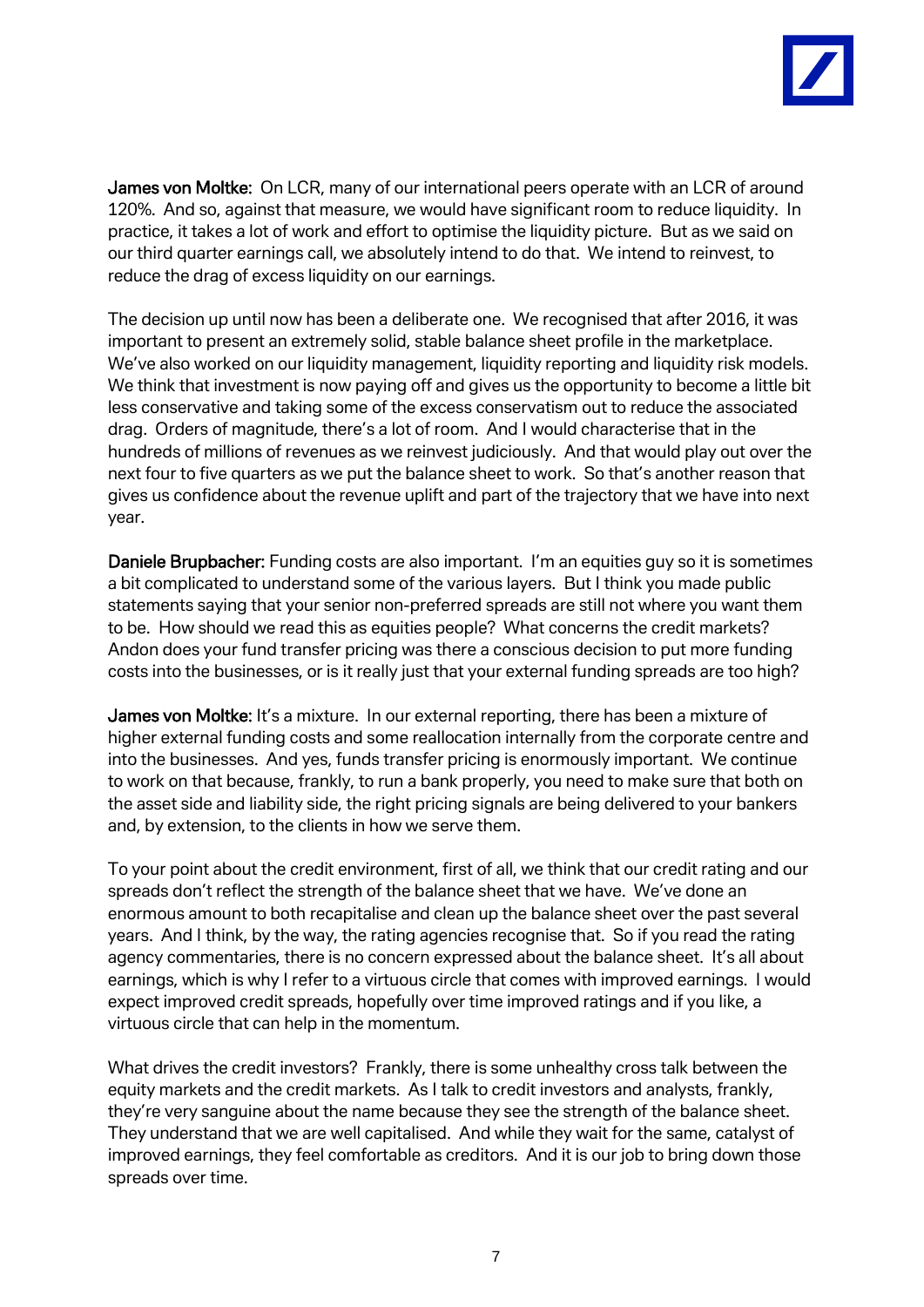

James von Moltke: On LCR, many of our international peers operate with an LCR of around 120%. And so, against that measure, we would have significant room to reduce liquidity. In practice, it takes a lot of work and effort to optimise the liquidity picture. But as we said on our third quarter earnings call, we absolutely intend to do that. We intend to reinvest, to reduce the drag of excess liquidity on our earnings.

The decision up until now has been a deliberate one. We recognised that after 2016, it was important to present an extremely solid, stable balance sheet profile in the marketplace. We've also worked on our liquidity management, liquidity reporting and liquidity risk models. We think that investment is now paying off and gives us the opportunity to become a little bit less conservative and taking some of the excess conservatism out to reduce the associated drag. Orders of magnitude, there's a lot of room. And I would characterise that in the hundreds of millions of revenues as we reinvest judiciously. And that would play out over the next four to five quarters as we put the balance sheet to work. So that's another reason that gives us confidence about the revenue uplift and part of the trajectory that we have into next year.

Daniele Brupbacher: Funding costs are also important. I'm an equities guy so it is sometimes a bit complicated to understand some of the various layers. But I think you made public statements saying that your senior non-preferred spreads are still not where you want them to be. How should we read this as equities people? What concerns the credit markets? Andon does your fund transfer pricing was there a conscious decision to put more funding costs into the businesses, or is it really just that your external funding spreads are too high?

James von Moltke: It's a mixture. In our external reporting, there has been a mixture of higher external funding costs and some reallocation internally from the corporate centre and into the businesses. And yes, funds transfer pricing is enormously important. We continue to work on that because, frankly, to run a bank properly, you need to make sure that both on the asset side and liability side, the right pricing signals are being delivered to your bankers and, by extension, to the clients in how we serve them.

To your point about the credit environment, first of all, we think that our credit rating and our spreads don't reflect the strength of the balance sheet that we have. We've done an enormous amount to both recapitalise and clean up the balance sheet over the past several years. And I think, by the way, the rating agencies recognise that. So if you read the rating agency commentaries, there is no concern expressed about the balance sheet. It's all about earnings, which is why I refer to a virtuous circle that comes with improved earnings. I would expect improved credit spreads, hopefully over time improved ratings and if you like, a virtuous circle that can help in the momentum.

What drives the credit investors? Frankly, there is some unhealthy cross talk between the equity markets and the credit markets. As I talk to credit investors and analysts, frankly, they're very sanguine about the name because they see the strength of the balance sheet. They understand that we are well capitalised. And while they wait for the same, catalyst of improved earnings, they feel comfortable as creditors. And it is our job to bring down those spreads over time.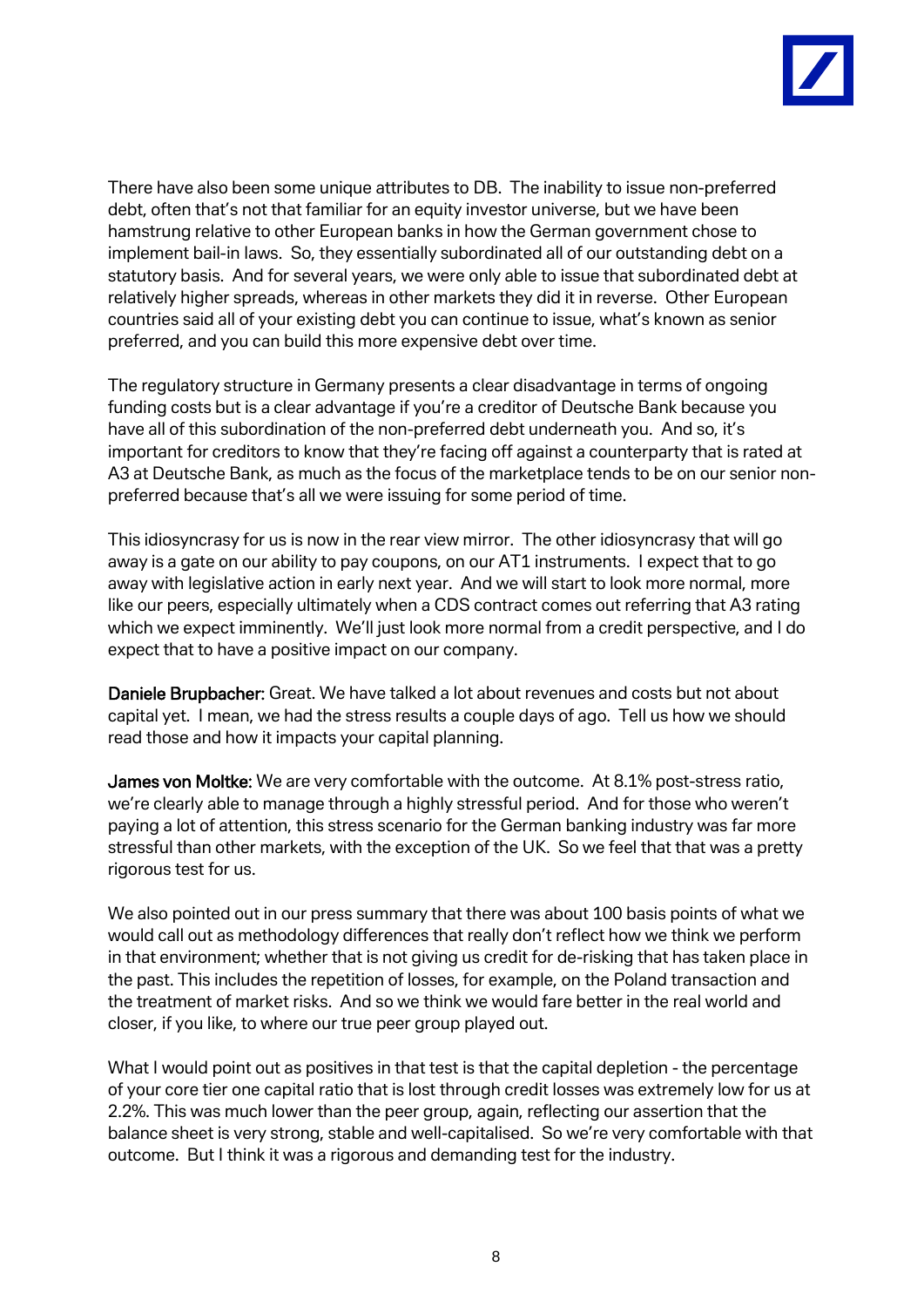

There have also been some unique attributes to DB. The inability to issue non-preferred debt, often that's not that familiar for an equity investor universe, but we have been hamstrung relative to other European banks in how the German government chose to implement bail-in laws. So, they essentially subordinated all of our outstanding debt on a statutory basis. And for several years, we were only able to issue that subordinated debt at relatively higher spreads, whereas in other markets they did it in reverse. Other European countries said all of your existing debt you can continue to issue, what's known as senior preferred, and you can build this more expensive debt over time.

The regulatory structure in Germany presents a clear disadvantage in terms of ongoing funding costs but is a clear advantage if you're a creditor of Deutsche Bank because you have all of this subordination of the non-preferred debt underneath you. And so, it's important for creditors to know that they're facing off against a counterparty that is rated at A3 at Deutsche Bank, as much as the focus of the marketplace tends to be on our senior nonpreferred because that's all we were issuing for some period of time.

This idiosyncrasy for us is now in the rear view mirror. The other idiosyncrasy that will go away is a gate on our ability to pay coupons, on our AT1 instruments. I expect that to go away with legislative action in early next year. And we will start to look more normal, more like our peers, especially ultimately when a CDS contract comes out referring that A3 rating which we expect imminently. We'll just look more normal from a credit perspective, and I do expect that to have a positive impact on our company.

Daniele Brupbacher: Great. We have talked a lot about revenues and costs but not about capital yet. I mean, we had the stress results a couple days of ago. Tell us how we should read those and how it impacts your capital planning.

James von Moltke: We are very comfortable with the outcome. At 8.1% post-stress ratio, we're clearly able to manage through a highly stressful period. And for those who weren't paying a lot of attention, this stress scenario for the German banking industry was far more stressful than other markets, with the exception of the UK. So we feel that that was a pretty rigorous test for us.

We also pointed out in our press summary that there was about 100 basis points of what we would call out as methodology differences that really don't reflect how we think we perform in that environment; whether that is not giving us credit for de-risking that has taken place in the past. This includes the repetition of losses, for example, on the Poland transaction and the treatment of market risks. And so we think we would fare better in the real world and closer, if you like, to where our true peer group played out.

What I would point out as positives in that test is that the capital depletion - the percentage of your core tier one capital ratio that is lost through credit losses was extremely low for us at 2.2%. This was much lower than the peer group, again, reflecting our assertion that the balance sheet is very strong, stable and well-capitalised. So we're very comfortable with that outcome. But I think it was a rigorous and demanding test for the industry.